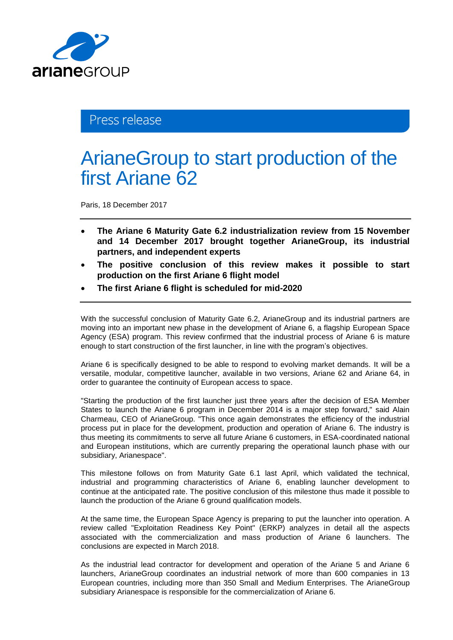

## Press release

# ArianeGroup to start production of the first Ariane 62

Paris, 18 December 2017

- **The Ariane 6 Maturity Gate 6.2 industrialization review from 15 November and 14 December 2017 brought together ArianeGroup, its industrial partners, and independent experts**
- **The positive conclusion of this review makes it possible to start production on the first Ariane 6 flight model**
- **The first Ariane 6 flight is scheduled for mid-2020**

With the successful conclusion of Maturity Gate 6.2, ArianeGroup and its industrial partners are moving into an important new phase in the development of Ariane 6, a flagship European Space Agency (ESA) program. This review confirmed that the industrial process of Ariane 6 is mature enough to start construction of the first launcher, in line with the program's objectives.

Ariane 6 is specifically designed to be able to respond to evolving market demands. It will be a versatile, modular, competitive launcher, available in two versions, Ariane 62 and Ariane 64, in order to guarantee the continuity of European access to space.

"Starting the production of the first launcher just three years after the decision of ESA Member States to launch the Ariane 6 program in December 2014 is a major step forward," said Alain Charmeau, CEO of ArianeGroup. "This once again demonstrates the efficiency of the industrial process put in place for the development, production and operation of Ariane 6. The industry is thus meeting its commitments to serve all future Ariane 6 customers, in ESA-coordinated national and European institutions, which are currently preparing the operational launch phase with our subsidiary, Arianespace".

This milestone follows on from Maturity Gate 6.1 last April, which validated the technical, industrial and programming characteristics of Ariane 6, enabling launcher development to continue at the anticipated rate. The positive conclusion of this milestone thus made it possible to launch the production of the Ariane 6 ground qualification models.

At the same time, the European Space Agency is preparing to put the launcher into operation. A review called "Exploitation Readiness Key Point" (ERKP) analyzes in detail all the aspects associated with the commercialization and mass production of Ariane 6 launchers. The conclusions are expected in March 2018.

As the industrial lead contractor for development and operation of the Ariane 5 and Ariane 6 launchers, ArianeGroup coordinates an industrial network of more than 600 companies in 13 European countries, including more than 350 Small and Medium Enterprises. The ArianeGroup subsidiary Arianespace is responsible for the commercialization of Ariane 6.